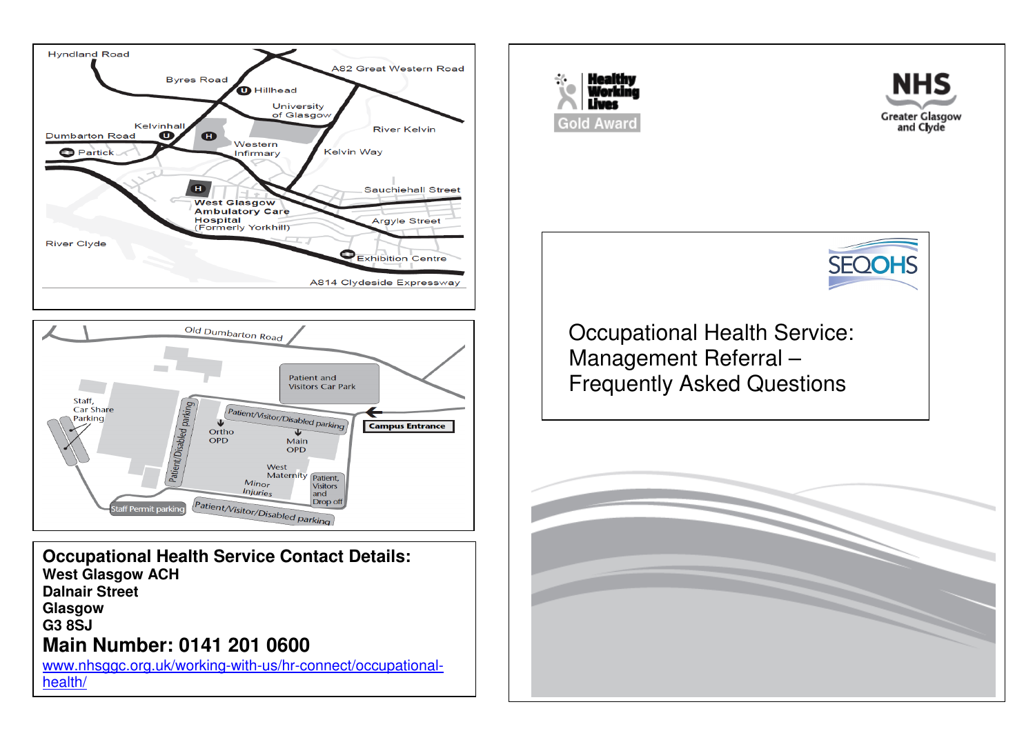



**Occupational Health Service Contact Details: West Glasgow ACH Dalnair Street Glasgow G3 8SJ Main Number: 0141 201 0600** 

 www.nhsggc.org.uk/working-with-us/hr-connect/occupationalhealth/